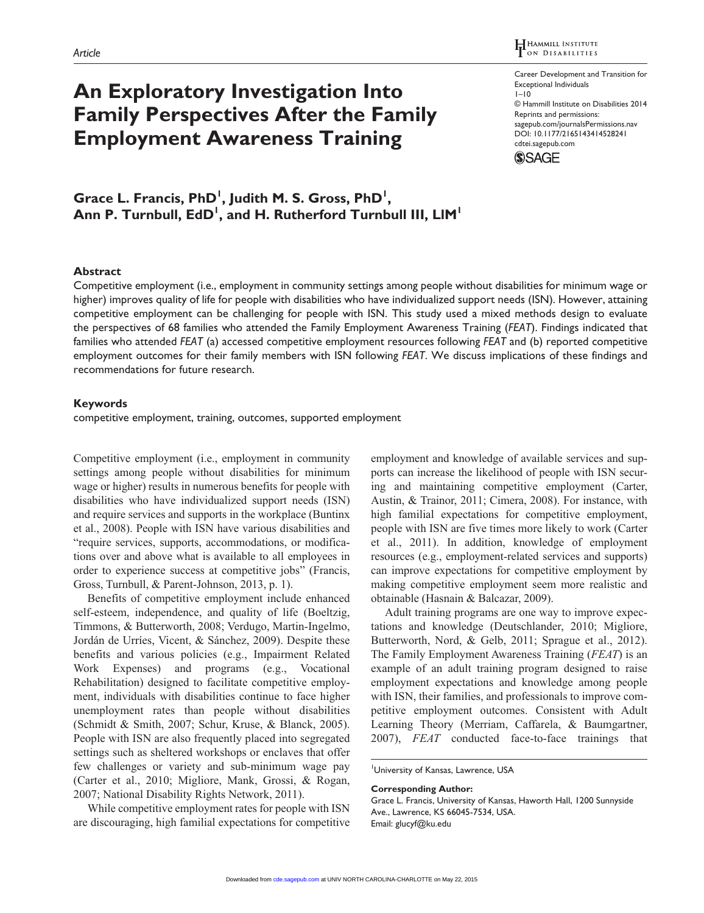# **An Exploratory Investigation Into Family Perspectives After the Family Employment Awareness Training**

Career Development and Transition for Exceptional Individuals  $1 - 10$ © Hammill Institute on Disabilities 2014 Reprints and permissions: sagepub.com/journalsPermissions.nav DOI: 10.1177/2165143414528241 cdtei.sagepub.com **SSAGE** 

# Grace L. Francis, PhD<sup>1</sup>, Judith M. S. Gross, PhD<sup>1</sup>, Ann P. Turnbull, EdD<sup>I</sup>, and H. Rutherford Turnbull III, LIM<sup>I</sup>

## **Abstract**

Competitive employment (i.e., employment in community settings among people without disabilities for minimum wage or higher) improves quality of life for people with disabilities who have individualized support needs (ISN). However, attaining competitive employment can be challenging for people with ISN. This study used a mixed methods design to evaluate the perspectives of 68 families who attended the Family Employment Awareness Training (*FEAT*). Findings indicated that families who attended *FEAT* (a) accessed competitive employment resources following *FEAT* and (b) reported competitive employment outcomes for their family members with ISN following *FEAT*. We discuss implications of these findings and recommendations for future research.

### **Keywords**

competitive employment, training, outcomes, supported employment

Competitive employment (i.e., employment in community settings among people without disabilities for minimum wage or higher) results in numerous benefits for people with disabilities who have individualized support needs (ISN) and require services and supports in the workplace (Buntinx et al., 2008). People with ISN have various disabilities and "require services, supports, accommodations, or modifications over and above what is available to all employees in order to experience success at competitive jobs" (Francis, Gross, Turnbull, & Parent-Johnson, 2013, p. 1).

Benefits of competitive employment include enhanced self-esteem, independence, and quality of life (Boeltzig, Timmons, & Butterworth, 2008; Verdugo, Martin-Ingelmo, Jordán de Urríes, Vicent, & Sánchez, 2009). Despite these benefits and various policies (e.g., Impairment Related Work Expenses) and programs (e.g., Vocational Rehabilitation) designed to facilitate competitive employment, individuals with disabilities continue to face higher unemployment rates than people without disabilities (Schmidt & Smith, 2007; Schur, Kruse, & Blanck, 2005). People with ISN are also frequently placed into segregated settings such as sheltered workshops or enclaves that offer few challenges or variety and sub-minimum wage pay (Carter et al., 2010; Migliore, Mank, Grossi, & Rogan, 2007; National Disability Rights Network, 2011).

While competitive employment rates for people with ISN are discouraging, high familial expectations for competitive

employment and knowledge of available services and supports can increase the likelihood of people with ISN securing and maintaining competitive employment (Carter, Austin, & Trainor, 2011; Cimera, 2008). For instance, with high familial expectations for competitive employment, people with ISN are five times more likely to work (Carter et al., 2011). In addition, knowledge of employment resources (e.g., employment-related services and supports) can improve expectations for competitive employment by making competitive employment seem more realistic and obtainable (Hasnain & Balcazar, 2009).

Adult training programs are one way to improve expectations and knowledge (Deutschlander, 2010; Migliore, Butterworth, Nord, & Gelb, 2011; Sprague et al., 2012). The Family Employment Awareness Training (*FEAT*) is an example of an adult training program designed to raise employment expectations and knowledge among people with ISN, their families, and professionals to improve competitive employment outcomes. Consistent with Adult Learning Theory (Merriam, Caffarela, & Baumgartner, 2007), *FEAT* conducted face-to-face trainings that

University of Kansas, Lawrence, USA

#### **Corresponding Author:**

Grace L. Francis, University of Kansas, Haworth Hall, 1200 Sunnyside Ave., Lawrence, KS 66045-7534, USA. Email: [glucyf@ku.edu](mailto:glucyf@ku.edu)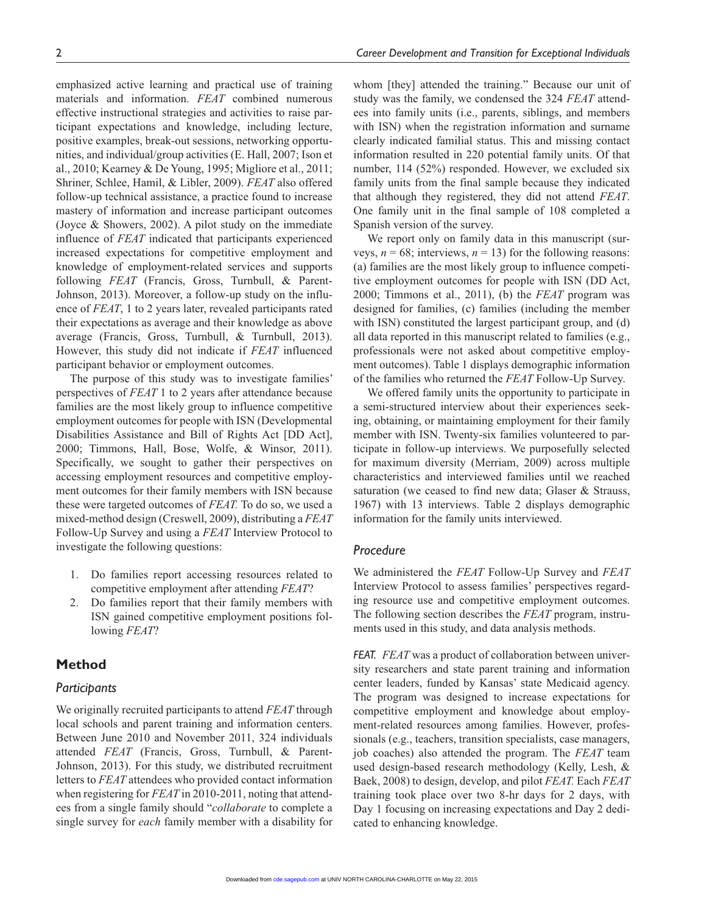emphasized active learning and practical use of training materials and information. *FEAT* combined numerous effective instructional strategies and activities to raise participant expectations and knowledge, including lecture, positive examples, break-out sessions, networking opportunities, and individual/group activities (E. Hall, 2007; Ison et al., 2010; Kearney & De Young, 1995; Migliore et al., 2011; Shriner, Schlee, Hamil, & Libler, 2009). *FEAT* also offered follow-up technical assistance, a practice found to increase mastery of information and increase participant outcomes (Joyce & Showers, 2002). A pilot study on the immediate influence of *FEAT* indicated that participants experienced increased expectations for competitive employment and knowledge of employment-related services and supports following *FEAT* (Francis, Gross, Turnbull, & Parent-Johnson, 2013). Moreover, a follow-up study on the influence of *FEAT*, 1 to 2 years later, revealed participants rated their expectations as average and their knowledge as above average (Francis, Gross, Turnbull, & Turnbull, 2013). However, this study did not indicate if *FEAT* influenced participant behavior or employment outcomes.

The purpose of this study was to investigate families' perspectives of *FEAT* 1 to 2 years after attendance because families are the most likely group to influence competitive employment outcomes for people with ISN (Developmental Disabilities Assistance and Bill of Rights Act [DD Act], 2000; Timmons, Hall, Bose, Wolfe, & Winsor, 2011). Specifically, we sought to gather their perspectives on accessing employment resources and competitive employment outcomes for their family members with ISN because these were targeted outcomes of *FEAT.* To do so, we used a mixed-method design (Creswell, 2009), distributing a *FEAT* Follow-Up Survey and using a *FEAT* Interview Protocol to investigate the following questions:

- 1. Do families report accessing resources related to competitive employment after attending *FEAT*?
- 2. Do families report that their family members with ISN gained competitive employment positions following *FEAT*?

# **Method**

### *Participants*

We originally recruited participants to attend *FEAT* through local schools and parent training and information centers. Between June 2010 and November 2011, 324 individuals attended *FEAT* (Francis, Gross, Turnbull, & Parent-Johnson, 2013). For this study, we distributed recruitment letters to *FEAT* attendees who provided contact information when registering for *FEAT* in 2010-2011, noting that attendees from a single family should "*collaborate* to complete a single survey for *each* family member with a disability for whom [they] attended the training." Because our unit of study was the family, we condensed the 324 *FEAT* attendees into family units (i.e., parents, siblings, and members with ISN) when the registration information and surname clearly indicated familial status. This and missing contact information resulted in 220 potential family units. Of that number, 114 (52%) responded. However, we excluded six family units from the final sample because they indicated that although they registered, they did not attend *FEAT*. One family unit in the final sample of 108 completed a Spanish version of the survey.

We report only on family data in this manuscript (surveys,  $n = 68$ ; interviews,  $n = 13$ ) for the following reasons: (a) families are the most likely group to influence competitive employment outcomes for people with ISN (DD Act, 2000; Timmons et al., 2011), (b) the *FEAT* program was designed for families, (c) families (including the member with ISN) constituted the largest participant group, and (d) all data reported in this manuscript related to families (e.g., professionals were not asked about competitive employment outcomes). Table 1 displays demographic information of the families who returned the *FEAT* Follow-Up Survey.

We offered family units the opportunity to participate in a semi-structured interview about their experiences seeking, obtaining, or maintaining employment for their family member with ISN. Twenty-six families volunteered to participate in follow-up interviews. We purposefully selected for maximum diversity (Merriam, 2009) across multiple characteristics and interviewed families until we reached saturation (we ceased to find new data; Glaser & Strauss, 1967) with 13 interviews. Table 2 displays demographic information for the family units interviewed.

# *Procedure*

We administered the *FEAT* Follow-Up Survey and *FEAT* Interview Protocol to assess families' perspectives regarding resource use and competitive employment outcomes. The following section describes the *FEAT* program, instruments used in this study, and data analysis methods.

*FEAT. FEAT* was a product of collaboration between university researchers and state parent training and information center leaders, funded by Kansas' state Medicaid agency. The program was designed to increase expectations for competitive employment and knowledge about employment-related resources among families. However, professionals (e.g., teachers, transition specialists, case managers, job coaches) also attended the program. The *FEAT* team used design-based research methodology (Kelly, Lesh, & Baek, 2008) to design, develop, and pilot *FEAT.* Each *FEAT* training took place over two 8-hr days for 2 days, with Day 1 focusing on increasing expectations and Day 2 dedicated to enhancing knowledge.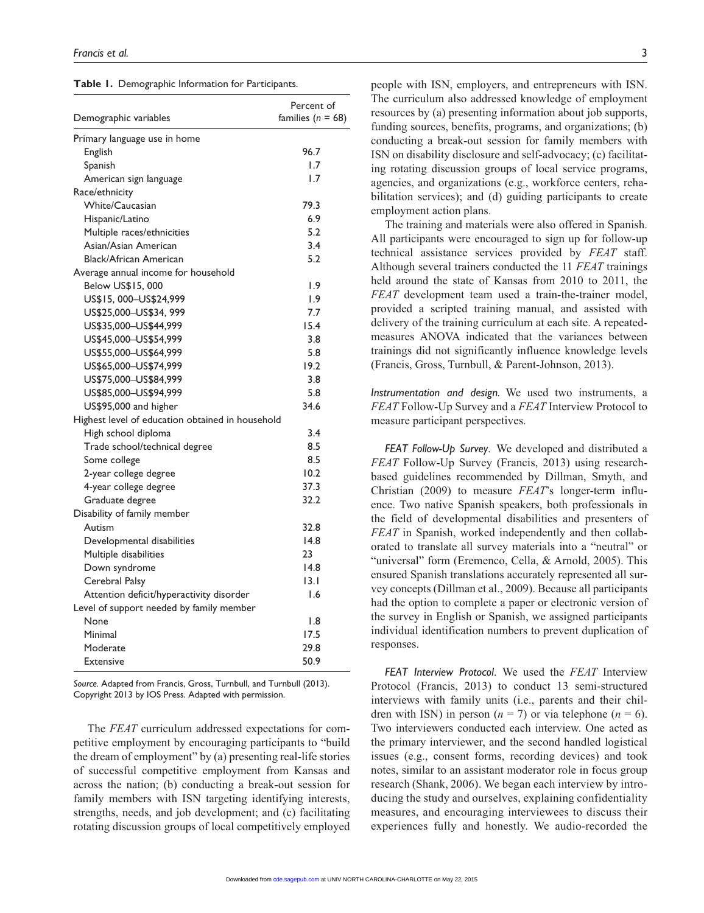**Table 1.** Demographic Information for Participants.

| Demographic variables                            | Percent of<br>families ( $n = 68$ ) |
|--------------------------------------------------|-------------------------------------|
| Primary language use in home                     |                                     |
| English                                          | 96.7                                |
| Spanish                                          | 1.7                                 |
| American sign language                           | 1.7                                 |
| Race/ethnicity                                   |                                     |
| White/Caucasian                                  | 79.3                                |
| Hispanic/Latino                                  | 6.9                                 |
| Multiple races/ethnicities                       | 5.2                                 |
| Asian/Asian American                             | 3.4                                 |
| Black/African American                           | 5.2                                 |
| Average annual income for household              |                                     |
| Below US\$15, 000                                | 1.9                                 |
| US\$15,000-US\$24,999                            | 1.9                                 |
| US\$25,000-US\$34, 999                           | 7.7                                 |
| US\$35,000-US\$44,999                            | 15.4                                |
| US\$45,000-US\$54,999                            | 3.8                                 |
| US\$55,000-US\$64,999                            | 5.8                                 |
| US\$65,000-US\$74,999                            | 19.2                                |
| US\$75,000-US\$84,999                            | 3.8                                 |
| US\$85,000-US\$94,999                            | 5.8                                 |
| US\$95,000 and higher                            | 34.6                                |
| Highest level of education obtained in household |                                     |
| High school diploma                              | 3.4                                 |
| Trade school/technical degree                    | 8.5                                 |
| Some college                                     | 8.5                                 |
| 2-year college degree                            | 10.2                                |
| 4-year college degree                            | 37.3                                |
| Graduate degree                                  | 32.2                                |
| Disability of family member                      |                                     |
| Autism                                           | 32.8                                |
| Developmental disabilities                       | 14.8                                |
| Multiple disabilities                            | 23                                  |
| Down syndrome                                    | 14.8                                |
| Cerebral Palsy                                   | 3.1                                 |
| Attention deficit/hyperactivity disorder         | 1.6                                 |
| Level of support needed by family member         |                                     |
| None                                             | 1.8                                 |
| Minimal                                          | 17.5                                |
| Moderate                                         | 29.8                                |
| <b>Extensive</b>                                 | 50.9                                |

*Source.* Adapted from Francis, Gross, Turnbull, and Turnbull (2013). Copyright 2013 by IOS Press. Adapted with permission.

The *FEAT* curriculum addressed expectations for competitive employment by encouraging participants to "build the dream of employment" by (a) presenting real-life stories of successful competitive employment from Kansas and across the nation; (b) conducting a break-out session for family members with ISN targeting identifying interests, strengths, needs, and job development; and (c) facilitating rotating discussion groups of local competitively employed people with ISN, employers, and entrepreneurs with ISN. The curriculum also addressed knowledge of employment resources by (a) presenting information about job supports, funding sources, benefits, programs, and organizations; (b) conducting a break-out session for family members with ISN on disability disclosure and self-advocacy; (c) facilitating rotating discussion groups of local service programs, agencies, and organizations (e.g., workforce centers, rehabilitation services); and (d) guiding participants to create employment action plans.

The training and materials were also offered in Spanish. All participants were encouraged to sign up for follow-up technical assistance services provided by *FEAT* staff. Although several trainers conducted the 11 *FEAT* trainings held around the state of Kansas from 2010 to 2011, the *FEAT* development team used a train-the-trainer model, provided a scripted training manual, and assisted with delivery of the training curriculum at each site. A repeatedmeasures ANOVA indicated that the variances between trainings did not significantly influence knowledge levels (Francis, Gross, Turnbull, & Parent-Johnson, 2013).

*Instrumentation and design.* We used two instruments, a *FEAT* Follow-Up Survey and a *FEAT* Interview Protocol to measure participant perspectives.

*FEAT Follow-Up Survey*. We developed and distributed a *FEAT* Follow-Up Survey (Francis, 2013) using researchbased guidelines recommended by Dillman, Smyth, and Christian (2009) to measure *FEAT*'s longer-term influence. Two native Spanish speakers, both professionals in the field of developmental disabilities and presenters of *FEAT* in Spanish, worked independently and then collaborated to translate all survey materials into a "neutral" or "universal" form (Eremenco, Cella, & Arnold, 2005). This ensured Spanish translations accurately represented all survey concepts (Dillman et al., 2009). Because all participants had the option to complete a paper or electronic version of the survey in English or Spanish, we assigned participants individual identification numbers to prevent duplication of responses.

*FEAT Interview Protocol*. We used the *FEAT* Interview Protocol (Francis, 2013) to conduct 13 semi-structured interviews with family units (i.e., parents and their children with ISN) in person  $(n = 7)$  or via telephone  $(n = 6)$ . Two interviewers conducted each interview. One acted as the primary interviewer, and the second handled logistical issues (e.g., consent forms, recording devices) and took notes, similar to an assistant moderator role in focus group research (Shank, 2006). We began each interview by introducing the study and ourselves, explaining confidentiality measures, and encouraging interviewees to discuss their experiences fully and honestly. We audio-recorded the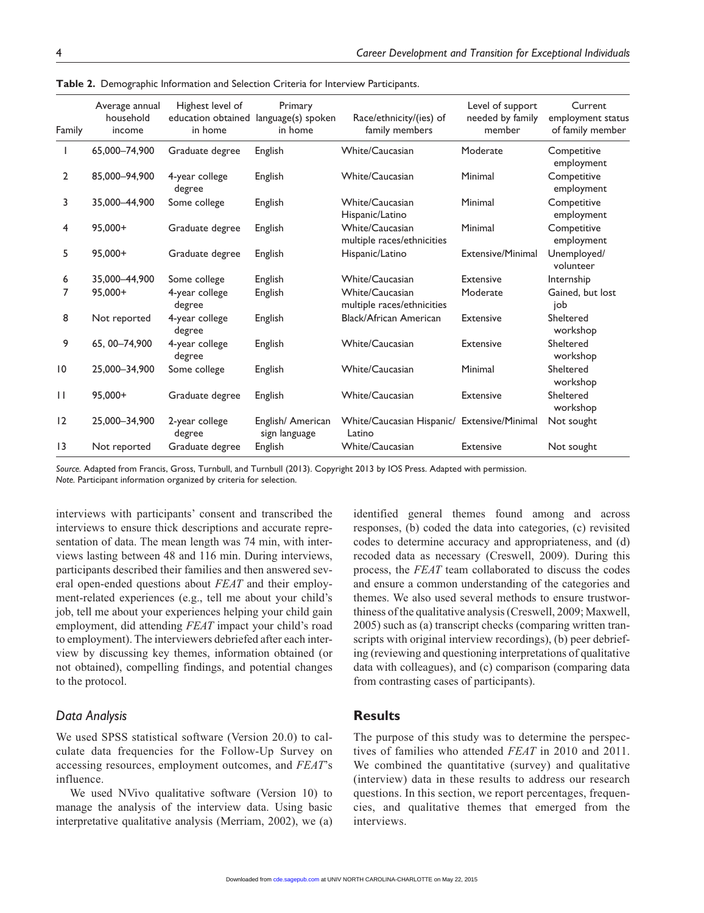| Family          | Average annual<br>household<br>income | Highest level of<br>in home | Primary<br>education obtained language(s) spoken<br>in home | Race/ethnicity/(ies) of<br>family members             | Level of support<br>needed by family<br>member | Current<br>employment status<br>of family member |
|-----------------|---------------------------------------|-----------------------------|-------------------------------------------------------------|-------------------------------------------------------|------------------------------------------------|--------------------------------------------------|
|                 | 65.000-74.900                         | Graduate degree             | English                                                     | White/Caucasian                                       | Moderate                                       | Competitive<br>employment                        |
| $\overline{2}$  | 85,000-94,900                         | 4-year college<br>degree    | English                                                     | White/Caucasian                                       | Minimal                                        | Competitive<br>employment                        |
| 3               | 35,000 - 44,900                       | Some college                | English                                                     | White/Caucasian<br>Hispanic/Latino                    | Minimal                                        | Competitive<br>employment                        |
| 4               | $95.000+$                             | Graduate degree             | English                                                     | White/Caucasian<br>multiple races/ethnicities         | Minimal                                        | Competitive<br>employment                        |
| 5               | $95.000+$                             | Graduate degree             | English                                                     | Hispanic/Latino                                       | Extensive/Minimal                              | Unemployed/<br>volunteer                         |
| 6               | 35.000-44.900                         | Some college                | English                                                     | White/Caucasian                                       | Extensive                                      | Internship                                       |
| 7               | $95,000+$                             | 4-year college<br>degree    | English                                                     | White/Caucasian<br>multiple races/ethnicities         | Moderate                                       | Gained, but lost<br>job                          |
| 8               | Not reported                          | 4-year college<br>degree    | English                                                     | <b>Black/African American</b>                         | Extensive                                      | Sheltered<br>workshop                            |
| 9               | 65, 00-74,900                         | 4-year college<br>degree    | English                                                     | White/Caucasian                                       | Extensive                                      | Sheltered<br>workshop                            |
| $\overline{10}$ | 25,000-34,900                         | Some college                | English                                                     | White/Caucasian                                       | Minimal                                        | Sheltered<br>workshop                            |
| $\mathbf{H}$    | $95,000+$                             | Graduate degree             | English                                                     | White/Caucasian                                       | Extensive                                      | Sheltered<br>workshop                            |
| 12              | 25,000-34,900                         | 2-year college<br>degree    | English/ American<br>sign language                          | White/Caucasian Hispanic/ Extensive/Minimal<br>Latino |                                                | Not sought                                       |
| 3               | Not reported                          | Graduate degree             | English                                                     | White/Caucasian                                       | <b>Extensive</b>                               | Not sought                                       |

**Table 2.** Demographic Information and Selection Criteria for Interview Participants.

*Source.* Adapted from Francis, Gross, Turnbull, and Turnbull (2013). Copyright 2013 by IOS Press. Adapted with permission. *Note.* Participant information organized by criteria for selection.

interviews with participants' consent and transcribed the interviews to ensure thick descriptions and accurate representation of data. The mean length was 74 min, with interviews lasting between 48 and 116 min. During interviews, participants described their families and then answered several open-ended questions about *FEAT* and their employment-related experiences (e.g., tell me about your child's job, tell me about your experiences helping your child gain employment, did attending *FEAT* impact your child's road to employment). The interviewers debriefed after each interview by discussing key themes, information obtained (or not obtained), compelling findings, and potential changes to the protocol.

# *Data Analysis*

We used SPSS statistical software (Version 20.0) to calculate data frequencies for the Follow-Up Survey on accessing resources, employment outcomes, and *FEAT*'s influence.

We used NVivo qualitative software (Version 10) to manage the analysis of the interview data. Using basic interpretative qualitative analysis (Merriam, 2002), we (a)

identified general themes found among and across responses, (b) coded the data into categories, (c) revisited codes to determine accuracy and appropriateness, and (d) recoded data as necessary (Creswell, 2009). During this process, the *FEAT* team collaborated to discuss the codes and ensure a common understanding of the categories and themes. We also used several methods to ensure trustworthiness of the qualitative analysis (Creswell, 2009; Maxwell, 2005) such as (a) transcript checks (comparing written transcripts with original interview recordings), (b) peer debriefing (reviewing and questioning interpretations of qualitative data with colleagues), and (c) comparison (comparing data from contrasting cases of participants).

# **Results**

The purpose of this study was to determine the perspectives of families who attended *FEAT* in 2010 and 2011. We combined the quantitative (survey) and qualitative (interview) data in these results to address our research questions. In this section, we report percentages, frequencies, and qualitative themes that emerged from the interviews.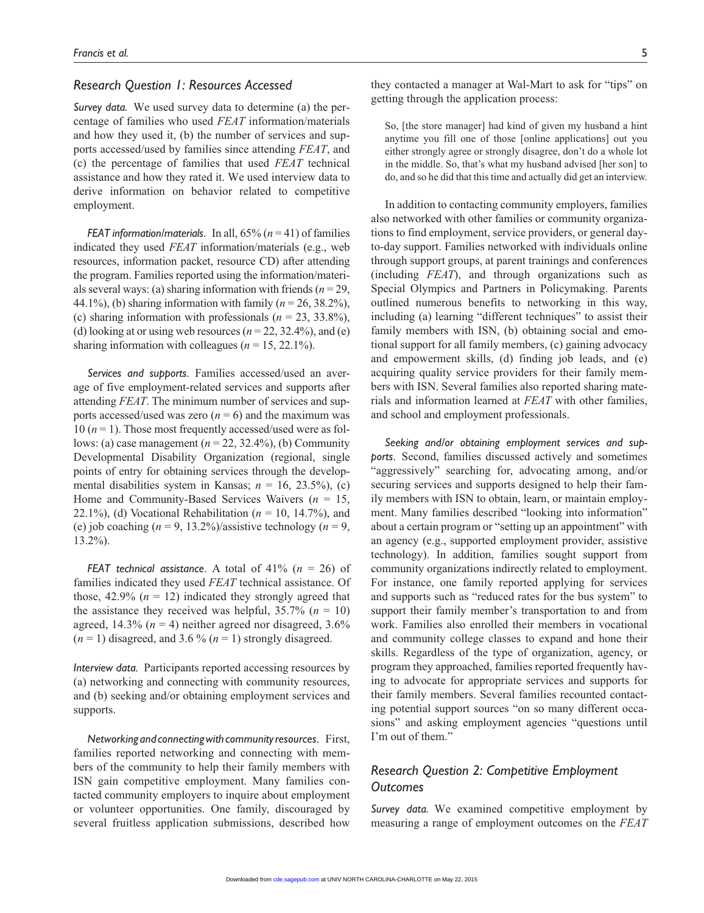# *Research Question 1: Resources Accessed*

*Survey data.* We used survey data to determine (a) the percentage of families who used *FEAT* information/materials and how they used it, (b) the number of services and supports accessed/used by families since attending *FEAT*, and (c) the percentage of families that used *FEAT* technical assistance and how they rated it. We used interview data to derive information on behavior related to competitive employment.

*FEAT information/materials.* In all,  $65\%$  ( $n = 41$ ) of families indicated they used *FEAT* information/materials (e.g., web resources, information packet, resource CD) after attending the program. Families reported using the information/materials several ways: (a) sharing information with friends (*n* = 29, 44.1%), (b) sharing information with family (*n* = 26, 38.2%), (c) sharing information with professionals  $(n = 23, 33.8\%)$ , (d) looking at or using web resources  $(n = 22, 32.4\%)$ , and (e) sharing information with colleagues ( $n = 15, 22.1\%$ ).

*Services and supports*. Families accessed/used an average of five employment-related services and supports after attending *FEAT*. The minimum number of services and supports accessed/used was zero  $(n = 6)$  and the maximum was 10 (*n* = 1). Those most frequently accessed/used were as follows: (a) case management (*n* = 22, 32.4%), (b) Community Developmental Disability Organization (regional, single points of entry for obtaining services through the developmental disabilities system in Kansas;  $n = 16, 23.5\%$ ), (c) Home and Community-Based Services Waivers (*n* = 15, 22.1%), (d) Vocational Rehabilitation ( $n = 10$ , 14.7%), and (e) job coaching  $(n = 9, 13.2\%)$ /assistive technology  $(n = 9, 13.2\%)$ 13.2%).

*FEAT technical assistance*. A total of 41% (*n* = 26) of families indicated they used *FEAT* technical assistance. Of those,  $42.9\%$  ( $n = 12$ ) indicated they strongly agreed that the assistance they received was helpful,  $35.7\%$  ( $n = 10$ ) agreed,  $14.3\%$  ( $n = 4$ ) neither agreed nor disagreed,  $3.6\%$  $(n = 1)$  disagreed, and 3.6 %  $(n = 1)$  strongly disagreed.

*Interview data.* Participants reported accessing resources by (a) networking and connecting with community resources, and (b) seeking and/or obtaining employment services and supports.

*Networking and connecting with community resources*. First, families reported networking and connecting with members of the community to help their family members with ISN gain competitive employment. Many families contacted community employers to inquire about employment or volunteer opportunities. One family, discouraged by several fruitless application submissions, described how

they contacted a manager at Wal-Mart to ask for "tips" on getting through the application process:

So, [the store manager] had kind of given my husband a hint anytime you fill one of those [online applications] out you either strongly agree or strongly disagree, don't do a whole lot in the middle. So, that's what my husband advised [her son] to do, and so he did that this time and actually did get an interview.

In addition to contacting community employers, families also networked with other families or community organizations to find employment, service providers, or general dayto-day support. Families networked with individuals online through support groups, at parent trainings and conferences (including *FEAT*), and through organizations such as Special Olympics and Partners in Policymaking. Parents outlined numerous benefits to networking in this way, including (a) learning "different techniques" to assist their family members with ISN, (b) obtaining social and emotional support for all family members, (c) gaining advocacy and empowerment skills, (d) finding job leads, and (e) acquiring quality service providers for their family members with ISN. Several families also reported sharing materials and information learned at *FEAT* with other families, and school and employment professionals.

*Seeking and/or obtaining employment services and supports*. Second, families discussed actively and sometimes "aggressively" searching for, advocating among, and/or securing services and supports designed to help their family members with ISN to obtain, learn, or maintain employment. Many families described "looking into information" about a certain program or "setting up an appointment" with an agency (e.g., supported employment provider, assistive technology). In addition, families sought support from community organizations indirectly related to employment. For instance, one family reported applying for services and supports such as "reduced rates for the bus system" to support their family member's transportation to and from work. Families also enrolled their members in vocational and community college classes to expand and hone their skills. Regardless of the type of organization, agency, or program they approached, families reported frequently having to advocate for appropriate services and supports for their family members. Several families recounted contacting potential support sources "on so many different occasions" and asking employment agencies "questions until I'm out of them."

# *Research Question 2: Competitive Employment Outcomes*

*Survey data.* We examined competitive employment by measuring a range of employment outcomes on the *FEAT*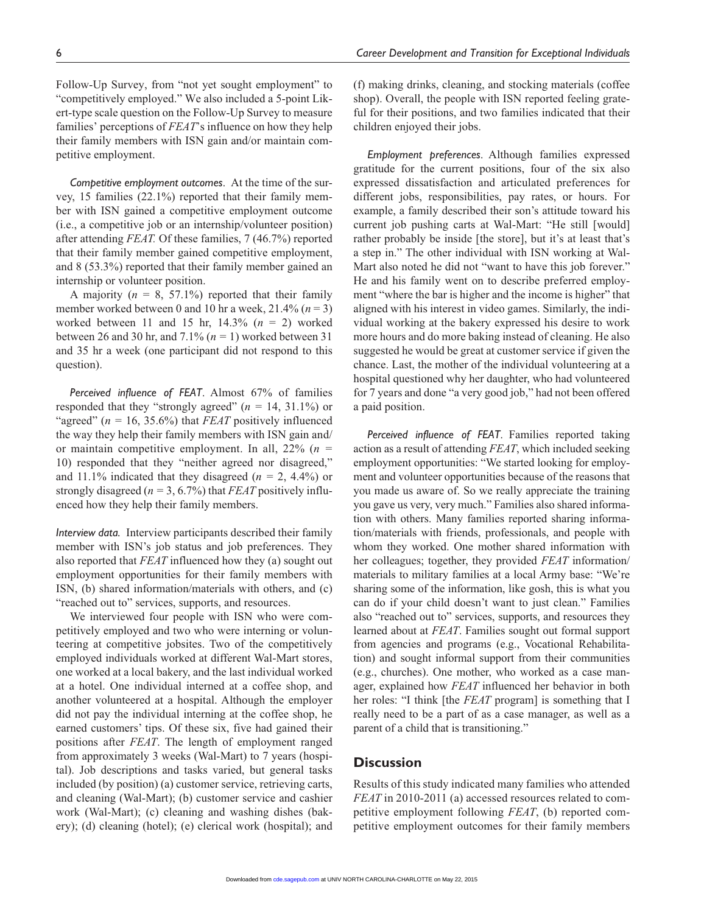Follow-Up Survey, from "not yet sought employment" to "competitively employed." We also included a 5-point Likert-type scale question on the Follow-Up Survey to measure families' perceptions of *FEAT*'s influence on how they help their family members with ISN gain and/or maintain competitive employment.

*Competitive employment outcomes*. At the time of the survey, 15 families (22.1%) reported that their family member with ISN gained a competitive employment outcome (i.e., a competitive job or an internship/volunteer position) after attending *FEAT.* Of these families, 7 (46.7%) reported that their family member gained competitive employment, and 8 (53.3%) reported that their family member gained an internship or volunteer position.

A majority  $(n = 8, 57.1\%)$  reported that their family member worked between 0 and 10 hr a week, 21.4% (*n* = 3) worked between 11 and 15 hr, 14.3% (*n* = 2) worked between 26 and 30 hr, and 7.1% (*n =* 1) worked between 31 and 35 hr a week (one participant did not respond to this question).

*Perceived influence of FEAT*. Almost 67% of families responded that they "strongly agreed" (*n =* 14, 31.1%) or "agreed" (*n =* 16, 35.6%) that *FEAT* positively influenced the way they help their family members with ISN gain and/ or maintain competitive employment. In all, 22% (*n =* 10) responded that they "neither agreed nor disagreed," and 11.1% indicated that they disagreed (*n =* 2, 4.4%) or strongly disagreed (*n =* 3, 6.7%) that *FEAT* positively influenced how they help their family members.

*Interview data.* Interview participants described their family member with ISN's job status and job preferences. They also reported that *FEAT* influenced how they (a) sought out employment opportunities for their family members with ISN, (b) shared information/materials with others, and (c) "reached out to" services, supports, and resources.

We interviewed four people with ISN who were competitively employed and two who were interning or volunteering at competitive jobsites. Two of the competitively employed individuals worked at different Wal-Mart stores, one worked at a local bakery, and the last individual worked at a hotel. One individual interned at a coffee shop, and another volunteered at a hospital. Although the employer did not pay the individual interning at the coffee shop, he earned customers' tips. Of these six, five had gained their positions after *FEAT*. The length of employment ranged from approximately 3 weeks (Wal-Mart) to 7 years (hospital). Job descriptions and tasks varied, but general tasks included (by position) (a) customer service, retrieving carts, and cleaning (Wal-Mart); (b) customer service and cashier work (Wal-Mart); (c) cleaning and washing dishes (bakery); (d) cleaning (hotel); (e) clerical work (hospital); and (f) making drinks, cleaning, and stocking materials (coffee shop). Overall, the people with ISN reported feeling grateful for their positions, and two families indicated that their children enjoyed their jobs.

*Employment preferences*. Although families expressed gratitude for the current positions, four of the six also expressed dissatisfaction and articulated preferences for different jobs, responsibilities, pay rates, or hours. For example, a family described their son's attitude toward his current job pushing carts at Wal-Mart: "He still [would] rather probably be inside [the store], but it's at least that's a step in." The other individual with ISN working at Wal-Mart also noted he did not "want to have this job forever." He and his family went on to describe preferred employment "where the bar is higher and the income is higher" that aligned with his interest in video games. Similarly, the individual working at the bakery expressed his desire to work more hours and do more baking instead of cleaning. He also suggested he would be great at customer service if given the chance. Last, the mother of the individual volunteering at a hospital questioned why her daughter, who had volunteered for 7 years and done "a very good job," had not been offered a paid position.

*Perceived influence of FEAT*. Families reported taking action as a result of attending *FEAT*, which included seeking employment opportunities: "We started looking for employment and volunteer opportunities because of the reasons that you made us aware of. So we really appreciate the training you gave us very, very much." Families also shared information with others. Many families reported sharing information/materials with friends, professionals, and people with whom they worked. One mother shared information with her colleagues; together, they provided *FEAT* information/ materials to military families at a local Army base: "We're sharing some of the information, like gosh, this is what you can do if your child doesn't want to just clean." Families also "reached out to" services, supports, and resources they learned about at *FEAT*. Families sought out formal support from agencies and programs (e.g., Vocational Rehabilitation) and sought informal support from their communities (e.g., churches). One mother, who worked as a case manager, explained how *FEAT* influenced her behavior in both her roles: "I think [the *FEAT* program] is something that I really need to be a part of as a case manager, as well as a parent of a child that is transitioning."

# **Discussion**

Results of this study indicated many families who attended *FEAT* in 2010-2011 (a) accessed resources related to competitive employment following *FEAT*, (b) reported competitive employment outcomes for their family members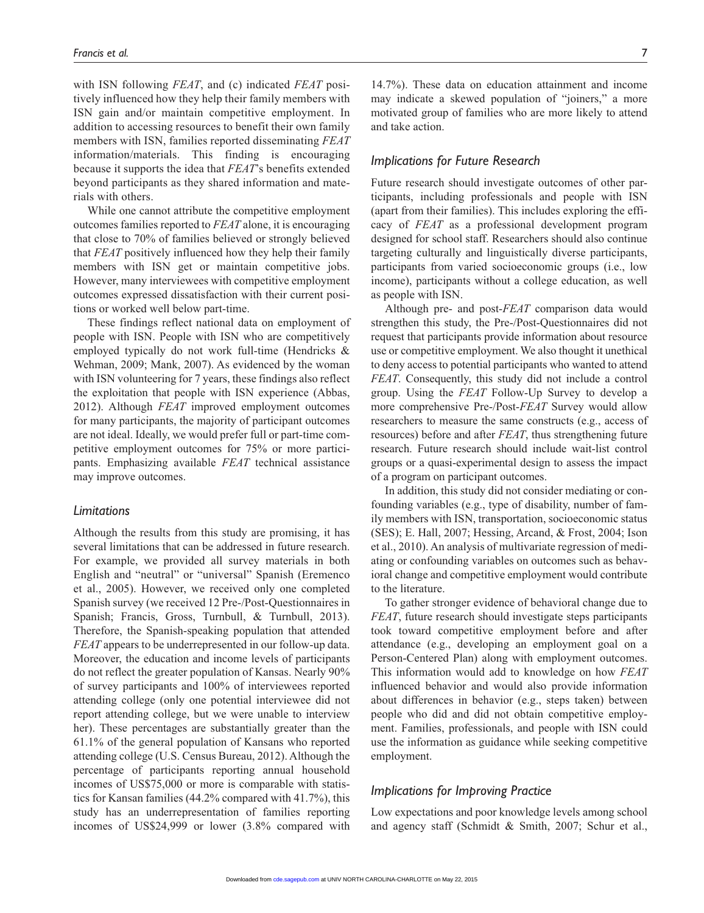with ISN following *FEAT*, and (c) indicated *FEAT* positively influenced how they help their family members with ISN gain and/or maintain competitive employment. In addition to accessing resources to benefit their own family members with ISN, families reported disseminating *FEAT* information/materials. This finding is encouraging because it supports the idea that *FEAT*'s benefits extended beyond participants as they shared information and materials with others.

While one cannot attribute the competitive employment outcomes families reported to *FEAT* alone, it is encouraging that close to 70% of families believed or strongly believed that *FEAT* positively influenced how they help their family members with ISN get or maintain competitive jobs. However, many interviewees with competitive employment outcomes expressed dissatisfaction with their current positions or worked well below part-time.

These findings reflect national data on employment of people with ISN. People with ISN who are competitively employed typically do not work full-time (Hendricks & Wehman, 2009; Mank, 2007). As evidenced by the woman with ISN volunteering for 7 years, these findings also reflect the exploitation that people with ISN experience (Abbas, 2012). Although *FEAT* improved employment outcomes for many participants, the majority of participant outcomes are not ideal. Ideally, we would prefer full or part-time competitive employment outcomes for 75% or more participants. Emphasizing available *FEAT* technical assistance may improve outcomes.

### *Limitations*

Although the results from this study are promising, it has several limitations that can be addressed in future research. For example, we provided all survey materials in both English and "neutral" or "universal" Spanish (Eremenco et al., 2005). However, we received only one completed Spanish survey (we received 12 Pre-/Post-Questionnaires in Spanish; Francis, Gross, Turnbull, & Turnbull, 2013). Therefore, the Spanish-speaking population that attended *FEAT* appears to be underrepresented in our follow-up data. Moreover, the education and income levels of participants do not reflect the greater population of Kansas. Nearly 90% of survey participants and 100% of interviewees reported attending college (only one potential interviewee did not report attending college, but we were unable to interview her). These percentages are substantially greater than the 61.1% of the general population of Kansans who reported attending college (U.S. Census Bureau, 2012). Although the percentage of participants reporting annual household incomes of US\$75,000 or more is comparable with statistics for Kansan families (44.2% compared with 41.7%), this study has an underrepresentation of families reporting incomes of US\$24,999 or lower (3.8% compared with

14.7%). These data on education attainment and income may indicate a skewed population of "joiners," a more motivated group of families who are more likely to attend and take action.

# *Implications for Future Research*

Future research should investigate outcomes of other participants, including professionals and people with ISN (apart from their families). This includes exploring the efficacy of *FEAT* as a professional development program designed for school staff. Researchers should also continue targeting culturally and linguistically diverse participants, participants from varied socioeconomic groups (i.e., low income), participants without a college education, as well as people with ISN.

Although pre- and post-*FEAT* comparison data would strengthen this study, the Pre-/Post-Questionnaires did not request that participants provide information about resource use or competitive employment. We also thought it unethical to deny access to potential participants who wanted to attend *FEAT*. Consequently, this study did not include a control group. Using the *FEAT* Follow-Up Survey to develop a more comprehensive Pre-/Post-*FEAT* Survey would allow researchers to measure the same constructs (e.g., access of resources) before and after *FEAT*, thus strengthening future research. Future research should include wait-list control groups or a quasi-experimental design to assess the impact of a program on participant outcomes.

In addition, this study did not consider mediating or confounding variables (e.g., type of disability, number of family members with ISN, transportation, socioeconomic status (SES); E. Hall, 2007; Hessing, Arcand, & Frost, 2004; Ison et al., 2010). An analysis of multivariate regression of mediating or confounding variables on outcomes such as behavioral change and competitive employment would contribute to the literature.

To gather stronger evidence of behavioral change due to *FEAT*, future research should investigate steps participants took toward competitive employment before and after attendance (e.g., developing an employment goal on a Person-Centered Plan) along with employment outcomes. This information would add to knowledge on how *FEAT* influenced behavior and would also provide information about differences in behavior (e.g., steps taken) between people who did and did not obtain competitive employment. Families, professionals, and people with ISN could use the information as guidance while seeking competitive employment.

# *Implications for Improving Practice*

Low expectations and poor knowledge levels among school and agency staff (Schmidt & Smith, 2007; Schur et al.,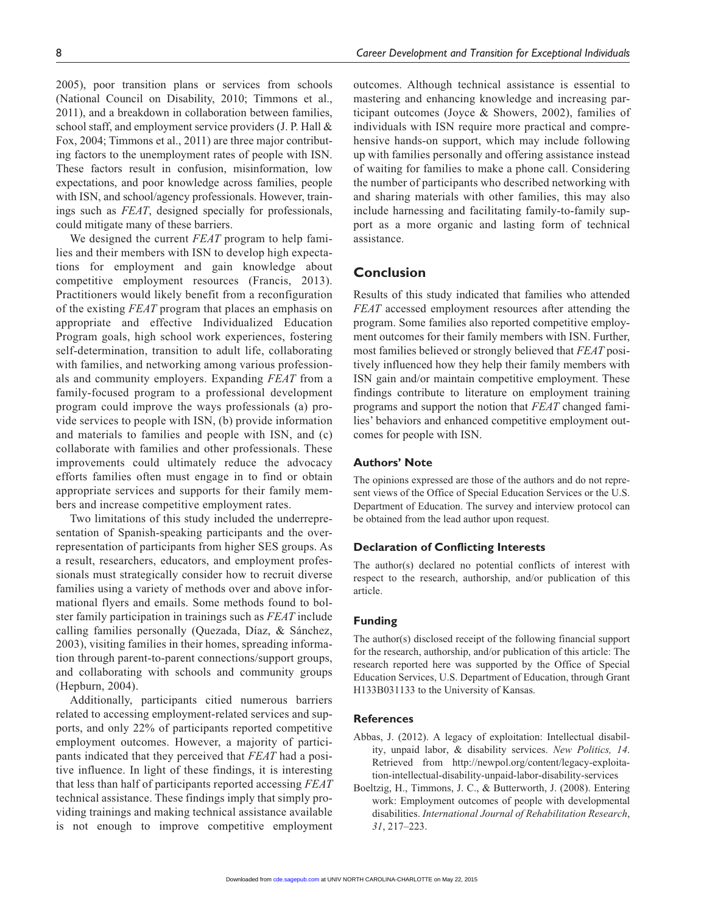2005), poor transition plans or services from schools (National Council on Disability, 2010; Timmons et al., 2011), and a breakdown in collaboration between families, school staff, and employment service providers (J. P. Hall & Fox, 2004; Timmons et al., 2011) are three major contributing factors to the unemployment rates of people with ISN. These factors result in confusion, misinformation, low expectations, and poor knowledge across families, people with ISN, and school/agency professionals. However, trainings such as *FEAT*, designed specially for professionals, could mitigate many of these barriers.

We designed the current *FEAT* program to help families and their members with ISN to develop high expectations for employment and gain knowledge about competitive employment resources (Francis, 2013). Practitioners would likely benefit from a reconfiguration of the existing *FEAT* program that places an emphasis on appropriate and effective Individualized Education Program goals, high school work experiences, fostering self-determination, transition to adult life, collaborating with families, and networking among various professionals and community employers. Expanding *FEAT* from a family-focused program to a professional development program could improve the ways professionals (a) provide services to people with ISN, (b) provide information and materials to families and people with ISN, and (c) collaborate with families and other professionals. These improvements could ultimately reduce the advocacy efforts families often must engage in to find or obtain appropriate services and supports for their family members and increase competitive employment rates.

Two limitations of this study included the underrepresentation of Spanish-speaking participants and the overrepresentation of participants from higher SES groups. As a result, researchers, educators, and employment professionals must strategically consider how to recruit diverse families using a variety of methods over and above informational flyers and emails. Some methods found to bolster family participation in trainings such as *FEAT* include calling families personally (Quezada, Díaz, & Sánchez, 2003), visiting families in their homes, spreading information through parent-to-parent connections/support groups, and collaborating with schools and community groups (Hepburn, 2004).

Additionally, participants citied numerous barriers related to accessing employment-related services and supports, and only 22% of participants reported competitive employment outcomes. However, a majority of participants indicated that they perceived that *FEAT* had a positive influence. In light of these findings, it is interesting that less than half of participants reported accessing *FEAT* technical assistance. These findings imply that simply providing trainings and making technical assistance available is not enough to improve competitive employment outcomes. Although technical assistance is essential to mastering and enhancing knowledge and increasing participant outcomes (Joyce & Showers, 2002), families of individuals with ISN require more practical and comprehensive hands-on support, which may include following up with families personally and offering assistance instead of waiting for families to make a phone call. Considering the number of participants who described networking with and sharing materials with other families, this may also include harnessing and facilitating family-to-family support as a more organic and lasting form of technical assistance.

# **Conclusion**

Results of this study indicated that families who attended *FEAT* accessed employment resources after attending the program. Some families also reported competitive employment outcomes for their family members with ISN. Further, most families believed or strongly believed that *FEAT* positively influenced how they help their family members with ISN gain and/or maintain competitive employment. These findings contribute to literature on employment training programs and support the notion that *FEAT* changed families' behaviors and enhanced competitive employment outcomes for people with ISN.

### **Authors' Note**

The opinions expressed are those of the authors and do not represent views of the Office of Special Education Services or the U.S. Department of Education. The survey and interview protocol can be obtained from the lead author upon request.

### **Declaration of Conflicting Interests**

The author(s) declared no potential conflicts of interest with respect to the research, authorship, and/or publication of this article.

### **Funding**

The author(s) disclosed receipt of the following financial support for the research, authorship, and/or publication of this article: The research reported here was supported by the Office of Special Education Services, U.S. Department of Education, through Grant H133B031133 to the University of Kansas.

# **References**

- Abbas, J. (2012). A legacy of exploitation: Intellectual disability, unpaid labor, & disability services. *New Politics, 14*. Retrieved from [http://newpol.org/content/legacy-exploita](http://newpol.org/content/legacy-exploitation-intellectual-disability-unpaid-labor-disability-services)[tion-intellectual-disability-unpaid-labor-disability-services](http://newpol.org/content/legacy-exploitation-intellectual-disability-unpaid-labor-disability-services)
- Boeltzig, H., Timmons, J. C., & Butterworth, J. (2008). Entering work: Employment outcomes of people with developmental disabilities. *International Journal of Rehabilitation Research*, *31*, 217–223.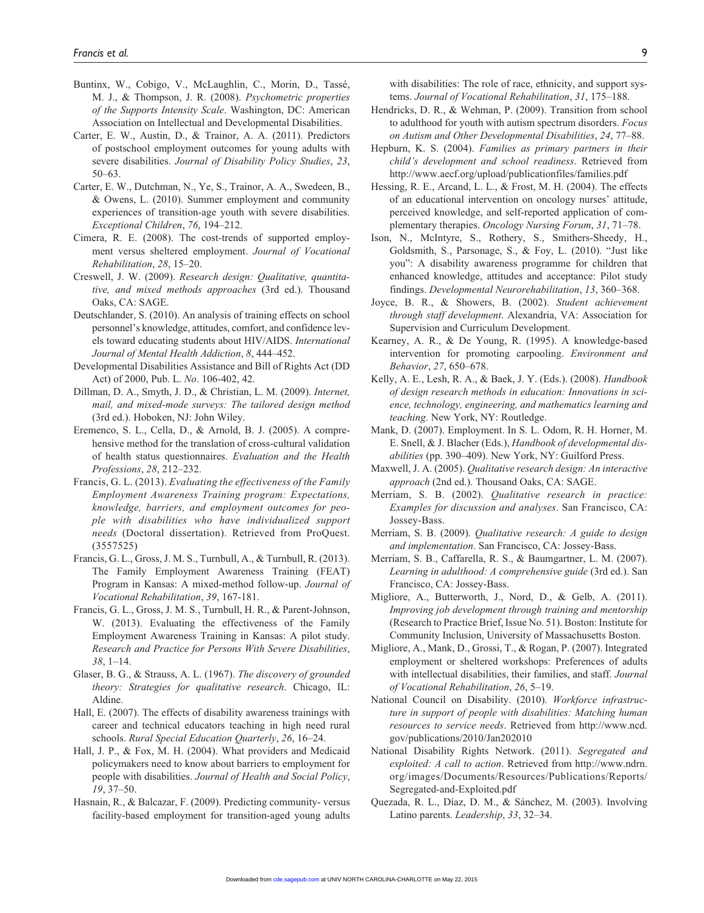- Buntinx, W., Cobigo, V., McLaughlin, C., Morin, D., Tassé, M. J., & Thompson, J. R. (2008). *Psychometric properties of the Supports Intensity Scale*. Washington, DC: American Association on Intellectual and Developmental Disabilities.
- Carter, E. W., Austin, D., & Trainor, A. A. (2011). Predictors of postschool employment outcomes for young adults with severe disabilities. *Journal of Disability Policy Studies*, *23*, 50–63.
- Carter, E. W., Dutchman, N., Ye, S., Trainor, A. A., Swedeen, B., & Owens, L. (2010). Summer employment and community experiences of transition-age youth with severe disabilities. *Exceptional Children*, *76*, 194–212.
- Cimera, R. E. (2008). The cost-trends of supported employment versus sheltered employment. *Journal of Vocational Rehabilitation*, *28*, 15–20.
- Creswell, J. W. (2009). *Research design: Qualitative, quantitative, and mixed methods approaches* (3rd ed.). Thousand Oaks, CA: SAGE.
- Deutschlander, S. (2010). An analysis of training effects on school personnel's knowledge, attitudes, comfort, and confidence levels toward educating students about HIV/AIDS. *International Journal of Mental Health Addiction*, *8*, 444–452.
- Developmental Disabilities Assistance and Bill of Rights Act (DD Act) of 2000, Pub. L. *No*. 106-402, 42.
- Dillman, D. A., Smyth, J. D., & Christian, L. M. (2009). *Internet, mail, and mixed-mode surveys: The tailored design method* (3rd ed.). Hoboken, NJ: John Wiley.
- Eremenco, S. L., Cella, D., & Arnold, B. J. (2005). A comprehensive method for the translation of cross-cultural validation of health status questionnaires. *Evaluation and the Health Professions*, *28*, 212–232.
- Francis, G. L. (2013). *Evaluating the effectiveness of the Family Employment Awareness Training program: Expectations, knowledge, barriers, and employment outcomes for people with disabilities who have individualized support needs* (Doctoral dissertation). Retrieved from ProQuest. (3557525)
- Francis, G. L., Gross, J. M. S., Turnbull, A., & Turnbull, R. (2013). The Family Employment Awareness Training (FEAT) Program in Kansas: A mixed-method follow-up. *Journal of Vocational Rehabilitation*, *39*, 167-181.
- Francis, G. L., Gross, J. M. S., Turnbull, H. R., & Parent-Johnson, W. (2013). Evaluating the effectiveness of the Family Employment Awareness Training in Kansas: A pilot study. *Research and Practice for Persons With Severe Disabilities*, *38*, 1–14.
- Glaser, B. G., & Strauss, A. L. (1967). *The discovery of grounded theory: Strategies for qualitative research*. Chicago, IL: Aldine.
- Hall, E. (2007). The effects of disability awareness trainings with career and technical educators teaching in high need rural schools. *Rural Special Education Quarterly*, *26*, 16–24.
- Hall, J. P., & Fox, M. H. (2004). What providers and Medicaid policymakers need to know about barriers to employment for people with disabilities. *Journal of Health and Social Policy*, *19*, 37–50.
- Hasnain, R., & Balcazar, F. (2009). Predicting community- versus facility-based employment for transition-aged young adults

with disabilities: The role of race, ethnicity, and support systems. *Journal of Vocational Rehabilitation*, *31*, 175–188.

- Hendricks, D. R., & Wehman, P. (2009). Transition from school to adulthood for youth with autism spectrum disorders. *Focus on Autism and Other Developmental Disabilities*, *24*, 77–88.
- Hepburn, K. S. (2004). *Families as primary partners in their child's development and school readiness*. Retrieved from <http://www.aecf.org/upload/publicationfiles/families.pdf>
- Hessing, R. E., Arcand, L. L., & Frost, M. H. (2004). The effects of an educational intervention on oncology nurses' attitude, perceived knowledge, and self-reported application of complementary therapies. *Oncology Nursing Forum*, *31*, 71–78.
- Ison, N., McIntyre, S., Rothery, S., Smithers-Sheedy, H., Goldsmith, S., Parsonage, S., & Foy, L. (2010). "Just like you": A disability awareness programme for children that enhanced knowledge, attitudes and acceptance: Pilot study findings. *Developmental Neurorehabilitation*, *13*, 360–368.
- Joyce, B. R., & Showers, B. (2002). *Student achievement through staff development*. Alexandria, VA: Association for Supervision and Curriculum Development.
- Kearney, A. R., & De Young, R. (1995). A knowledge-based intervention for promoting carpooling. *Environment and Behavior*, *27*, 650–678.
- Kelly, A. E., Lesh, R. A., & Baek, J. Y. (Eds.). (2008). *Handbook of design research methods in education: Innovations in science, technology, engineering, and mathematics learning and teaching*. New York, NY: Routledge.
- Mank, D. (2007). Employment. In S. L. Odom, R. H. Horner, M. E. Snell, & J. Blacher (Eds.), *Handbook of developmental disabilities* (pp. 390–409). New York, NY: Guilford Press.
- Maxwell, J. A. (2005). *Qualitative research design: An interactive approach* (2nd ed.). Thousand Oaks, CA: SAGE.
- Merriam, S. B. (2002). *Qualitative research in practice: Examples for discussion and analyses*. San Francisco, CA: Jossey-Bass.
- Merriam, S. B. (2009). *Qualitative research: A guide to design and implementation*. San Francisco, CA: Jossey-Bass.
- Merriam, S. B., Caffarella, R. S., & Baumgartner, L. M. (2007). *Learning in adulthood: A comprehensive guide* (3rd ed.). San Francisco, CA: Jossey-Bass.
- Migliore, A., Butterworth, J., Nord, D., & Gelb, A. (2011). *Improving job development through training and mentorship* (Research to Practice Brief, Issue No. 51). Boston: Institute for Community Inclusion, University of Massachusetts Boston.
- Migliore, A., Mank, D., Grossi, T., & Rogan, P. (2007). Integrated employment or sheltered workshops: Preferences of adults with intellectual disabilities, their families, and staff. *Journal of Vocational Rehabilitation*, *26*, 5–19.
- National Council on Disability. (2010). *Workforce infrastructure in support of people with disabilities: Matching human resources to service needs*. Retrieved from [http://www.ncd.](http://www.ncd.gov/publications/2010/Jan202010) [gov/publications/2010/Jan202010](http://www.ncd.gov/publications/2010/Jan202010)
- National Disability Rights Network. (2011). *Segregated and exploited: A call to action*. Retrieved from [http://www.ndrn.](http://www.ndrn.org/images/Documents/Resources/Publications/Reports/Segregated-and-Exploited.pdf) [org/images/Documents/Resources/Publications/Reports/](http://www.ndrn.org/images/Documents/Resources/Publications/Reports/Segregated-and-Exploited.pdf) [Segregated-and-Exploited.pdf](http://www.ndrn.org/images/Documents/Resources/Publications/Reports/Segregated-and-Exploited.pdf)
- Quezada, R. L., Díaz, D. M., & Sánchez, M. (2003). Involving Latino parents. *Leadership*, *33*, 32–34.